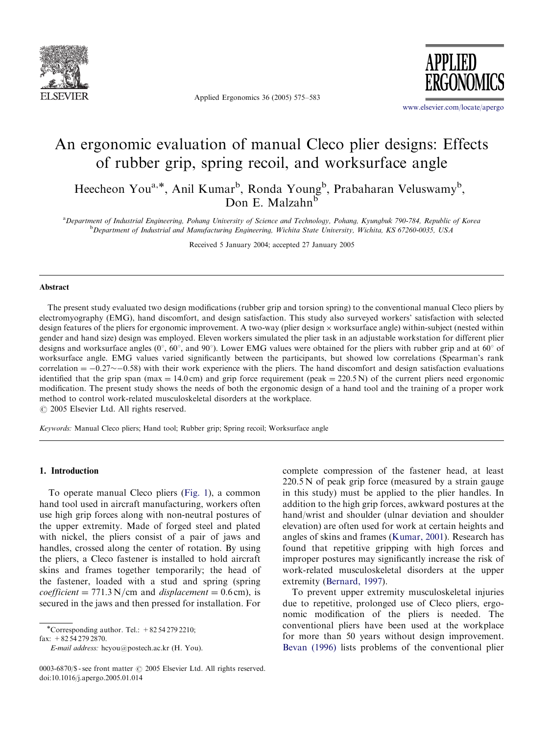

Applied Ergonomics 36 (2005) 575–583



<www.elsevier.com/locate/apergo>

# An ergonomic evaluation of manual Cleco plier designs: Effects of rubber grip, spring recoil, and worksurface angle

Heecheon You<sup>a,\*</sup>, Anil Kumar<sup>b</sup>, Ronda Young<sup>b</sup>, Prabaharan Veluswamy<sup>b</sup>, Don E. Malzahn<sup>b</sup>

a Department of Industrial Engineering, Pohang University of Science and Technology, Pohang, Kyungbuk 790-784, Republic of Korea <sup>b</sup> Department of Industrial and Manufacturing Engineering, Wichita State University, Wichita, KS 67260-0035, USA

Received 5 January 2004; accepted 27 January 2005

#### Abstract

The present study evaluated two design modifications (rubber grip and torsion spring) to the conventional manual Cleco pliers by electromyography (EMG), hand discomfort, and design satisfaction. This study also surveyed workers' satisfaction with selected design features of the pliers for ergonomic improvement. A two-way (plier design  $\times$  worksurface angle) within-subject (nested within gender and hand size) design was employed. Eleven workers simulated the plier task in an adjustable workstation for different plier designs and worksurface angles  $(0^{\circ}, 60^{\circ},$  and  $90^{\circ})$ . Lower EMG values were obtained for the pliers with rubber grip and at 60° of worksurface angle. EMG values varied significantly between the participants, but showed low correlations (Spearman's rank correlation  $= -0.27 \sim -0.58$ ) with their work experience with the pliers. The hand discomfort and design satisfaction evaluations identified that the grip span (max = 14.0 cm) and grip force requirement (peak = 220.5 N) of the current pliers need ergonomic modification. The present study shows the needs of both the ergonomic design of a hand tool and the training of a proper work method to control work-related musculoskeletal disorders at the workplace.

 $C$  2005 Elsevier Ltd. All rights reserved.

Keywords: Manual Cleco pliers; Hand tool; Rubber grip; Spring recoil; Worksurface angle

### 1. Introduction

To operate manual Cleco pliers [\(Fig. 1](#page-1-0)), a common hand tool used in aircraft manufacturing, workers often use high grip forces along with non-neutral postures of the upper extremity. Made of forged steel and plated with nickel, the pliers consist of a pair of jaws and handles, crossed along the center of rotation. By using the pliers, a Cleco fastener is installed to hold aircraft skins and frames together temporarily; the head of the fastener, loaded with a stud and spring (spring coefficient = 771.3 N/cm and displacement =  $0.6$  cm), is secured in the jaws and then pressed for installation. For

\*Corresponding author. Tel.:  $+82542792210$ ;

fax: +82 54 279 2870.

E-mail address: hcyou@postech.ac.kr (H. You).

complete compression of the fastener head, at least  $220.5 N$  of peak grip force (measured by a strain gauge in this study) must be applied to the plier handles. In addition to the high grip forces, awkward postures at the hand/wrist and shoulder (ulnar deviation and shoulder elevation) are often used for work at certain heights and angles of skins and frames ([Kumar, 2001\)](#page--1-0). Research has found that repetitive gripping with high forces and improper postures may significantly increase the risk of work-related musculoskeletal disorders at the upper extremity [\(Bernard, 1997](#page--1-0)).

To prevent upper extremity musculoskeletal injuries due to repetitive, prolonged use of Cleco pliers, ergonomic modification of the pliers is needed. The conventional pliers have been used at the workplace for more than 50 years without design improvement. [Bevan \(1996\)](#page--1-0) lists problems of the conventional plier

<sup>0003-6870/\$ -</sup> see front matter  $\odot$  2005 Elsevier Ltd. All rights reserved. doi:10.1016/j.apergo.2005.01.014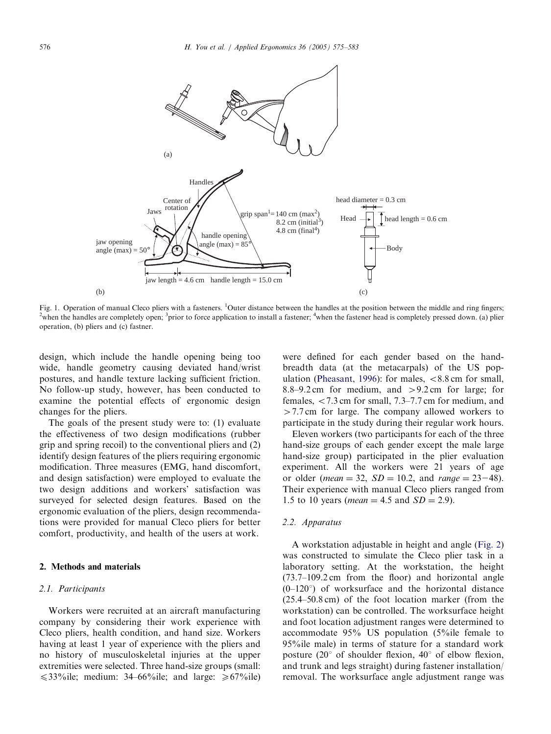<span id="page-1-0"></span>

Fig. 1. Operation of manual Cleco pliers with a fasteners. <sup>1</sup>Outer distance between the handles at the position between the middle and ring fingers; <sup>2</sup>when the handles are completely open;  $\frac{3}{2}$ prior to force application to install a fastener;  $\frac{4}{2}$ when the fastener head is completely pressed down. (a) plier operation, (b) pliers and (c) fastner.

design, which include the handle opening being too wide, handle geometry causing deviated hand/wrist postures, and handle texture lacking sufficient friction. No follow-up study, however, has been conducted to examine the potential effects of ergonomic design changes for the pliers.

The goals of the present study were to: (1) evaluate the effectiveness of two design modifications (rubber grip and spring recoil) to the conventional pliers and (2) identify design features of the pliers requiring ergonomic modification. Three measures (EMG, hand discomfort, and design satisfaction) were employed to evaluate the two design additions and workers' satisfaction was surveyed for selected design features. Based on the ergonomic evaluation of the pliers, design recommendations were provided for manual Cleco pliers for better comfort, productivity, and health of the users at work.

## 2. Methods and materials

#### 2.1. Participants

Workers were recruited at an aircraft manufacturing company by considering their work experience with Cleco pliers, health condition, and hand size. Workers having at least 1 year of experience with the pliers and no history of musculoskeletal injuries at the upper extremities were selected. Three hand-size groups (small:  $\leq$ 33%ile; medium: 34–66%ile; and large:  $\geq$  67%ile) were defined for each gender based on the handbreadth data (at the metacarpals) of the US pop-ulation ([Pheasant, 1996](#page--1-0)): for males,  $\langle 8.8 \text{ cm} \rangle$  for small, 8.8–9.2 cm for medium, and  $>$ 9.2 cm for large; for females,  $\langle 7.3 \text{ cm}$  for small, 7.3–7.7 cm for medium, and  $>$  7.7 cm for large. The company allowed workers to participate in the study during their regular work hours.

Eleven workers (two participants for each of the three hand-size groups of each gender except the male large hand-size group) participated in the plier evaluation experiment. All the workers were 21 years of age or older (*mean* = 32,  $SD = 10.2$ , and *range* = 23-48). Their experience with manual Cleco pliers ranged from 1.5 to 10 years (*mean* = 4.5 and  $SD = 2.9$ ).

### 2.2. Apparatus

A workstation adjustable in height and angle [\(Fig. 2](#page--1-0)) was constructed to simulate the Cleco plier task in a laboratory setting. At the workstation, the height (73.7–109.2 cm from the floor) and horizontal angle  $(0-120^{\circ})$  of worksurface and the horizontal distance (25.4–50.8 cm) of the foot location marker (from the workstation) can be controlled. The worksurface height and foot location adjustment ranges were determined to accommodate 95% US population (5%ile female to 95%ile male) in terms of stature for a standard work posture (20 $^{\circ}$  of shoulder flexion, 40 $^{\circ}$  of elbow flexion, and trunk and legs straight) during fastener installation/ removal. The worksurface angle adjustment range was